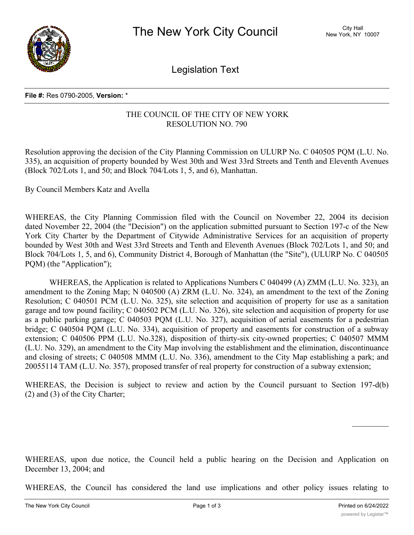

Legislation Text

## **File #:** Res 0790-2005, **Version:** \*

## THE COUNCIL OF THE CITY OF NEW YORK RESOLUTION NO. 790

Resolution approving the decision of the City Planning Commission on ULURP No. C 040505 PQM (L.U. No. 335), an acquisition of property bounded by West 30th and West 33rd Streets and Tenth and Eleventh Avenues (Block 702/Lots 1, and 50; and Block 704/Lots 1, 5, and 6), Manhattan.

By Council Members Katz and Avella

WHEREAS, the City Planning Commission filed with the Council on November 22, 2004 its decision dated November 22, 2004 (the "Decision") on the application submitted pursuant to Section 197-c of the New York City Charter by the Department of Citywide Administrative Services for an acquisition of property bounded by West 30th and West 33rd Streets and Tenth and Eleventh Avenues (Block 702/Lots 1, and 50; and Block 704/Lots 1, 5, and 6), Community District 4, Borough of Manhattan (the "Site"), (ULURP No. C 040505 PQM) (the "Application");

WHEREAS, the Application is related to Applications Numbers C 040499 (A) ZMM (L.U. No. 323), an amendment to the Zoning Map; N 040500 (A) ZRM (L.U. No. 324), an amendment to the text of the Zoning Resolution; C 040501 PCM (L.U. No. 325), site selection and acquisition of property for use as a sanitation garage and tow pound facility; C 040502 PCM (L.U. No. 326), site selection and acquisition of property for use as a public parking garage; C 040503 PQM (L.U. No. 327), acquisition of aerial easements for a pedestrian bridge; C 040504 PQM (L.U. No. 334), acquisition of property and easements for construction of a subway extension; C 040506 PPM (L.U. No.328), disposition of thirty-six city-owned properties; C 040507 MMM (L.U. No. 329), an amendment to the City Map involving the establishment and the elimination, discontinuance and closing of streets; C 040508 MMM (L.U. No. 336), amendment to the City Map establishing a park; and 20055114 TAM (L.U. No. 357), proposed transfer of real property for construction of a subway extension;

WHEREAS, the Decision is subject to review and action by the Council pursuant to Section 197-d(b) (2) and (3) of the City Charter;

WHEREAS, upon due notice, the Council held a public hearing on the Decision and Application on December 13, 2004; and

WHEREAS, the Council has considered the land use implications and other policy issues relating to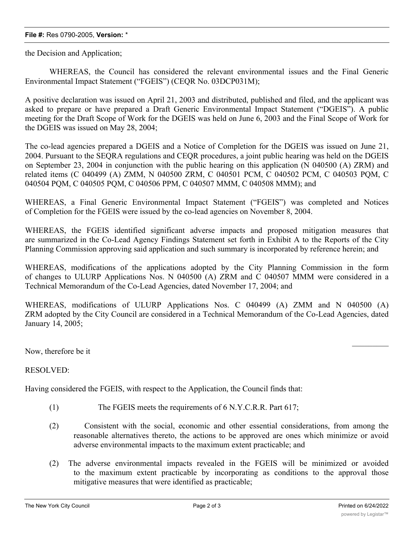## **File #:** Res 0790-2005, **Version:** \*

the Decision and Application;

WHEREAS, the Council has considered the relevant environmental issues and the Final Generic Environmental Impact Statement ("FGEIS") (CEQR No. 03DCP031M);

A positive declaration was issued on April 21, 2003 and distributed, published and filed, and the applicant was asked to prepare or have prepared a Draft Generic Environmental Impact Statement ("DGEIS"). A public meeting for the Draft Scope of Work for the DGEIS was held on June 6, 2003 and the Final Scope of Work for the DGEIS was issued on May 28, 2004;

The co-lead agencies prepared a DGEIS and a Notice of Completion for the DGEIS was issued on June 21, 2004. Pursuant to the SEQRA regulations and CEQR procedures, a joint public hearing was held on the DGEIS on September 23, 2004 in conjunction with the public hearing on this application (N 040500 (A) ZRM) and related items (C 040499 (A) ZMM, N 040500 ZRM, C 040501 PCM, C 040502 PCM, C 040503 PQM, C 040504 PQM, C 040505 PQM, C 040506 PPM, C 040507 MMM, C 040508 MMM); and

WHEREAS, a Final Generic Environmental Impact Statement ("FGEIS") was completed and Notices of Completion for the FGEIS were issued by the co-lead agencies on November 8, 2004.

WHEREAS, the FGEIS identified significant adverse impacts and proposed mitigation measures that are summarized in the Co-Lead Agency Findings Statement set forth in Exhibit A to the Reports of the City Planning Commission approving said application and such summary is incorporated by reference herein; and

WHEREAS, modifications of the applications adopted by the City Planning Commission in the form of changes to ULURP Applications Nos. N 040500 (A) ZRM and C 040507 MMM were considered in a Technical Memorandum of the Co-Lead Agencies, dated November 17, 2004; and

WHEREAS, modifications of ULURP Applications Nos. C 040499 (A) ZMM and N 040500 (A) ZRM adopted by the City Council are considered in a Technical Memorandum of the Co-Lead Agencies, dated January 14, 2005;

Now, therefore be it

RESOLVED:

Having considered the FGEIS, with respect to the Application, the Council finds that:

- (1) The FGEIS meets the requirements of 6 N.Y.C.R.R. Part 617;
- (2) Consistent with the social, economic and other essential considerations, from among the reasonable alternatives thereto, the actions to be approved are ones which minimize or avoid adverse environmental impacts to the maximum extent practicable; and
- (2) The adverse environmental impacts revealed in the FGEIS will be minimized or avoided to the maximum extent practicable by incorporating as conditions to the approval those mitigative measures that were identified as practicable;